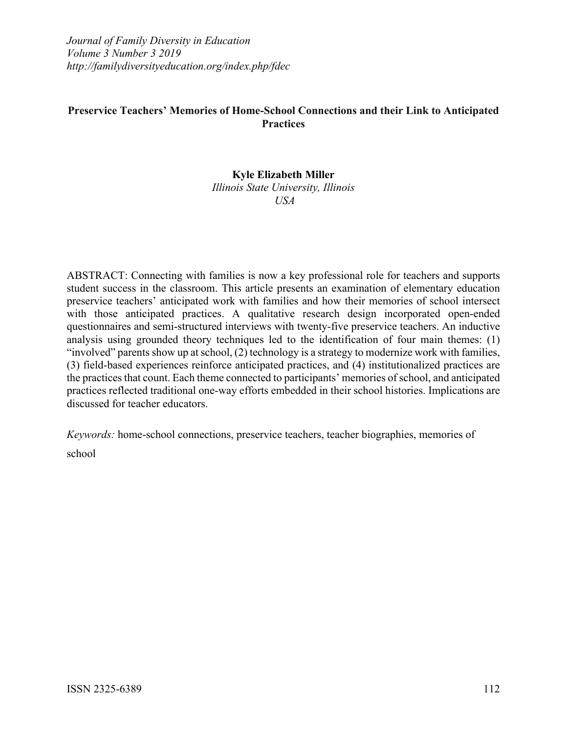*Journal of Family Diversity in Education Volume 3 Number 3 2019 http://familydiversityeducation.org/index.php/fdec*

# **Preservice Teachers' Memories of Home-School Connections and their Link to Anticipated Practices**

# **Kyle Elizabeth Miller**

*Illinois State University, Illinois USA*

ABSTRACT: Connecting with families is now a key professional role for teachers and supports student success in the classroom. This article presents an examination of elementary education preservice teachers' anticipated work with families and how their memories of school intersect with those anticipated practices. A qualitative research design incorporated open-ended questionnaires and semi-structured interviews with twenty-five preservice teachers. An inductive analysis using grounded theory techniques led to the identification of four main themes: (1) "involved" parents show up at school, (2) technology is a strategy to modernize work with families, (3) field-based experiences reinforce anticipated practices, and (4) institutionalized practices are the practices that count. Each theme connected to participants' memories of school, and anticipated practices reflected traditional one-way efforts embedded in their school histories. Implications are discussed for teacher educators.

*Keywords:* home-school connections, preservice teachers, teacher biographies, memories of school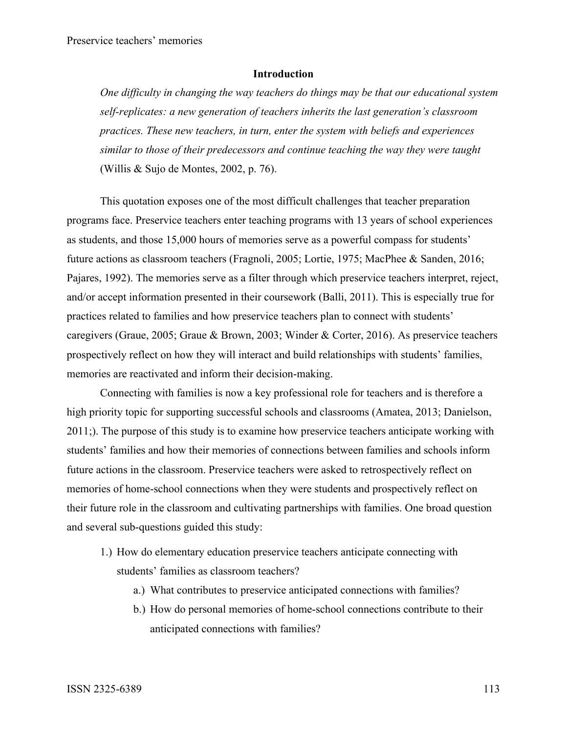### **Introduction**

*One difficulty in changing the way teachers do things may be that our educational system self-replicates: a new generation of teachers inherits the last generation's classroom practices. These new teachers, in turn, enter the system with beliefs and experiences similar to those of their predecessors and continue teaching the way they were taught* (Willis & Sujo de Montes, 2002, p. 76).

This quotation exposes one of the most difficult challenges that teacher preparation programs face. Preservice teachers enter teaching programs with 13 years of school experiences as students, and those 15,000 hours of memories serve as a powerful compass for students' future actions as classroom teachers (Fragnoli, 2005; Lortie, 1975; MacPhee & Sanden, 2016; Pajares, 1992). The memories serve as a filter through which preservice teachers interpret, reject, and/or accept information presented in their coursework (Balli, 2011). This is especially true for practices related to families and how preservice teachers plan to connect with students' caregivers (Graue, 2005; Graue & Brown, 2003; Winder & Corter, 2016). As preservice teachers prospectively reflect on how they will interact and build relationships with students' families, memories are reactivated and inform their decision-making.

Connecting with families is now a key professional role for teachers and is therefore a high priority topic for supporting successful schools and classrooms (Amatea, 2013; Danielson, 2011;). The purpose of this study is to examine how preservice teachers anticipate working with students' families and how their memories of connections between families and schools inform future actions in the classroom. Preservice teachers were asked to retrospectively reflect on memories of home-school connections when they were students and prospectively reflect on their future role in the classroom and cultivating partnerships with families. One broad question and several sub-questions guided this study:

- 1.) How do elementary education preservice teachers anticipate connecting with students' families as classroom teachers?
	- a.) What contributes to preservice anticipated connections with families?
	- b.) How do personal memories of home-school connections contribute to their anticipated connections with families?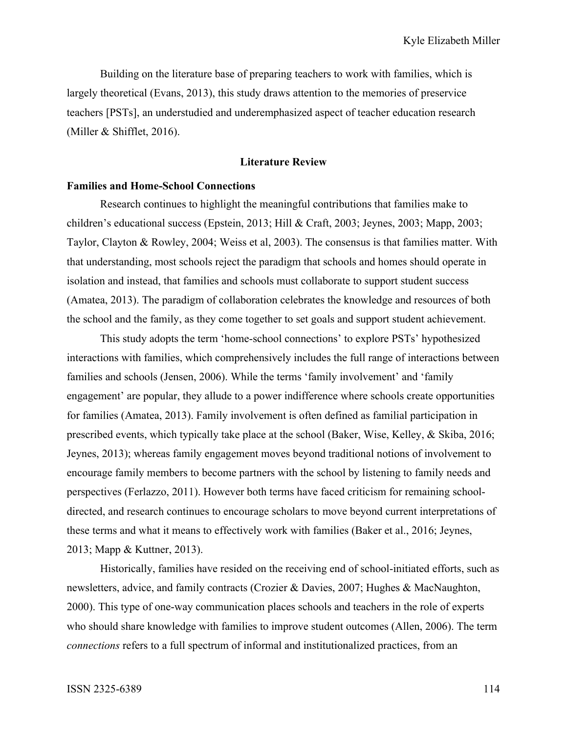Building on the literature base of preparing teachers to work with families, which is largely theoretical (Evans, 2013), this study draws attention to the memories of preservice teachers [PSTs], an understudied and underemphasized aspect of teacher education research (Miller & Shifflet, 2016).

## **Literature Review**

# **Families and Home-School Connections**

Research continues to highlight the meaningful contributions that families make to children's educational success (Epstein, 2013; Hill & Craft, 2003; Jeynes, 2003; Mapp, 2003; Taylor, Clayton & Rowley, 2004; Weiss et al, 2003). The consensus is that families matter. With that understanding, most schools reject the paradigm that schools and homes should operate in isolation and instead, that families and schools must collaborate to support student success (Amatea, 2013). The paradigm of collaboration celebrates the knowledge and resources of both the school and the family, as they come together to set goals and support student achievement.

This study adopts the term 'home-school connections' to explore PSTs' hypothesized interactions with families, which comprehensively includes the full range of interactions between families and schools (Jensen, 2006). While the terms 'family involvement' and 'family engagement' are popular, they allude to a power indifference where schools create opportunities for families (Amatea, 2013). Family involvement is often defined as familial participation in prescribed events, which typically take place at the school (Baker, Wise, Kelley, & Skiba, 2016; Jeynes, 2013); whereas family engagement moves beyond traditional notions of involvement to encourage family members to become partners with the school by listening to family needs and perspectives (Ferlazzo, 2011). However both terms have faced criticism for remaining schooldirected, and research continues to encourage scholars to move beyond current interpretations of these terms and what it means to effectively work with families (Baker et al., 2016; Jeynes, 2013; Mapp & Kuttner, 2013).

Historically, families have resided on the receiving end of school-initiated efforts, such as newsletters, advice, and family contracts (Crozier & Davies, 2007; Hughes & MacNaughton, 2000). This type of one-way communication places schools and teachers in the role of experts who should share knowledge with families to improve student outcomes (Allen, 2006). The term *connections* refers to a full spectrum of informal and institutionalized practices, from an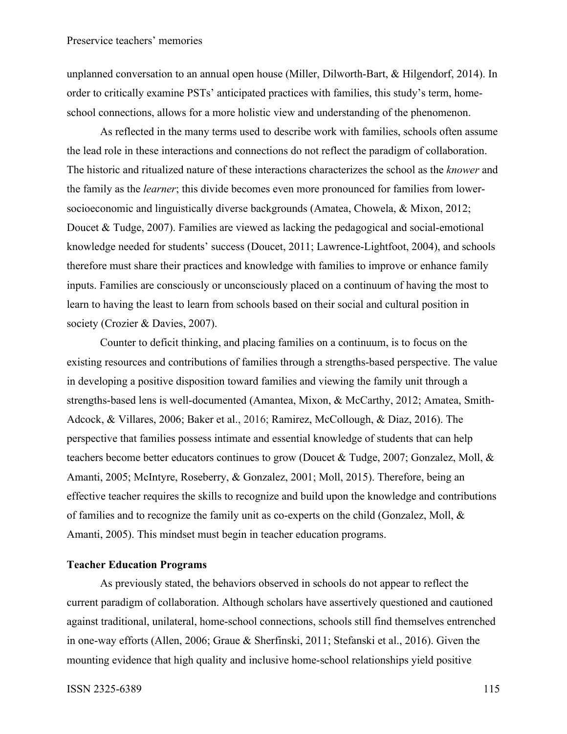unplanned conversation to an annual open house (Miller, Dilworth-Bart, & Hilgendorf, 2014). In order to critically examine PSTs' anticipated practices with families, this study's term, homeschool connections, allows for a more holistic view and understanding of the phenomenon.

As reflected in the many terms used to describe work with families, schools often assume the lead role in these interactions and connections do not reflect the paradigm of collaboration. The historic and ritualized nature of these interactions characterizes the school as the *knower* and the family as the *learner*; this divide becomes even more pronounced for families from lowersocioeconomic and linguistically diverse backgrounds (Amatea, Chowela, & Mixon, 2012; Doucet & Tudge, 2007). Families are viewed as lacking the pedagogical and social-emotional knowledge needed for students' success (Doucet, 2011; Lawrence-Lightfoot, 2004), and schools therefore must share their practices and knowledge with families to improve or enhance family inputs. Families are consciously or unconsciously placed on a continuum of having the most to learn to having the least to learn from schools based on their social and cultural position in society (Crozier & Davies, 2007).

Counter to deficit thinking, and placing families on a continuum, is to focus on the existing resources and contributions of families through a strengths-based perspective. The value in developing a positive disposition toward families and viewing the family unit through a strengths-based lens is well-documented (Amantea, Mixon, & McCarthy, 2012; Amatea, Smith-Adcock, & Villares, 2006; Baker et al., 2016; Ramirez, McCollough, & Diaz, 2016). The perspective that families possess intimate and essential knowledge of students that can help teachers become better educators continues to grow (Doucet & Tudge, 2007; Gonzalez, Moll, & Amanti, 2005; McIntyre, Roseberry, & Gonzalez, 2001; Moll, 2015). Therefore, being an effective teacher requires the skills to recognize and build upon the knowledge and contributions of families and to recognize the family unit as co-experts on the child (Gonzalez, Moll, & Amanti, 2005). This mindset must begin in teacher education programs.

## **Teacher Education Programs**

As previously stated, the behaviors observed in schools do not appear to reflect the current paradigm of collaboration. Although scholars have assertively questioned and cautioned against traditional, unilateral, home-school connections, schools still find themselves entrenched in one-way efforts (Allen, 2006; Graue & Sherfinski, 2011; Stefanski et al., 2016). Given the mounting evidence that high quality and inclusive home-school relationships yield positive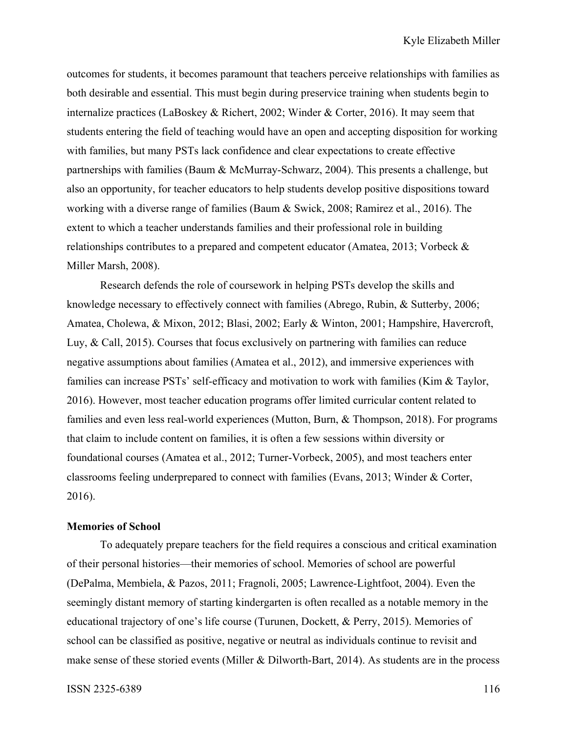outcomes for students, it becomes paramount that teachers perceive relationships with families as both desirable and essential. This must begin during preservice training when students begin to internalize practices (LaBoskey & Richert, 2002; Winder & Corter, 2016). It may seem that students entering the field of teaching would have an open and accepting disposition for working with families, but many PSTs lack confidence and clear expectations to create effective partnerships with families (Baum & McMurray-Schwarz, 2004). This presents a challenge, but also an opportunity, for teacher educators to help students develop positive dispositions toward working with a diverse range of families (Baum & Swick, 2008; Ramirez et al., 2016). The extent to which a teacher understands families and their professional role in building relationships contributes to a prepared and competent educator (Amatea, 2013; Vorbeck & Miller Marsh, 2008).

Research defends the role of coursework in helping PSTs develop the skills and knowledge necessary to effectively connect with families (Abrego, Rubin, & Sutterby, 2006; Amatea, Cholewa, & Mixon, 2012; Blasi, 2002; Early & Winton, 2001; Hampshire, Havercroft, Luy, & Call, 2015). Courses that focus exclusively on partnering with families can reduce negative assumptions about families (Amatea et al., 2012), and immersive experiences with families can increase PSTs' self-efficacy and motivation to work with families (Kim & Taylor, 2016). However, most teacher education programs offer limited curricular content related to families and even less real-world experiences (Mutton, Burn, & Thompson, 2018). For programs that claim to include content on families, it is often a few sessions within diversity or foundational courses (Amatea et al., 2012; Turner-Vorbeck, 2005), and most teachers enter classrooms feeling underprepared to connect with families (Evans, 2013; Winder & Corter, 2016).

## **Memories of School**

To adequately prepare teachers for the field requires a conscious and critical examination of their personal histories—their memories of school. Memories of school are powerful (DePalma, Membiela, & Pazos, 2011; Fragnoli, 2005; Lawrence-Lightfoot, 2004). Even the seemingly distant memory of starting kindergarten is often recalled as a notable memory in the educational trajectory of one's life course (Turunen, Dockett, & Perry, 2015). Memories of school can be classified as positive, negative or neutral as individuals continue to revisit and make sense of these storied events (Miller & Dilworth-Bart, 2014). As students are in the process

## ISSN 2325-6389 116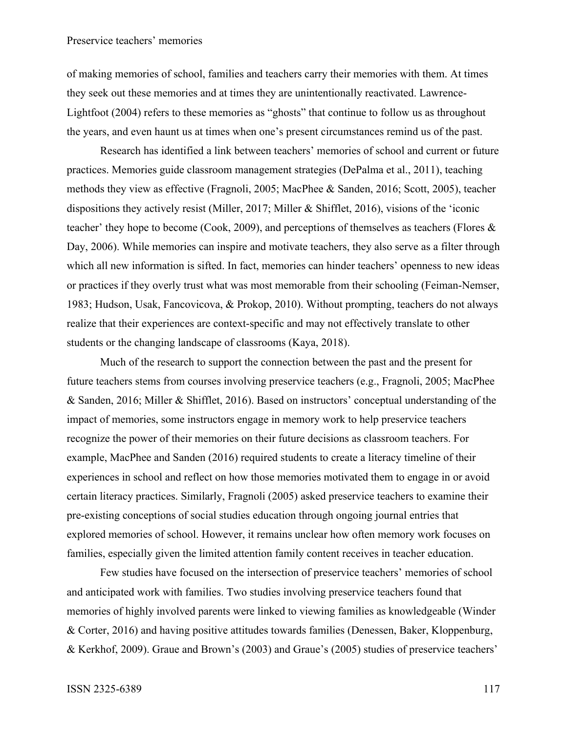of making memories of school, families and teachers carry their memories with them. At times they seek out these memories and at times they are unintentionally reactivated. Lawrence-Lightfoot (2004) refers to these memories as "ghosts" that continue to follow us as throughout the years, and even haunt us at times when one's present circumstances remind us of the past.

Research has identified a link between teachers' memories of school and current or future practices. Memories guide classroom management strategies (DePalma et al., 2011), teaching methods they view as effective (Fragnoli, 2005; MacPhee & Sanden, 2016; Scott, 2005), teacher dispositions they actively resist (Miller, 2017; Miller & Shifflet, 2016), visions of the 'iconic teacher' they hope to become (Cook, 2009), and perceptions of themselves as teachers (Flores & Day, 2006). While memories can inspire and motivate teachers, they also serve as a filter through which all new information is sifted. In fact, memories can hinder teachers' openness to new ideas or practices if they overly trust what was most memorable from their schooling (Feiman-Nemser, 1983; Hudson, Usak, Fancovicova, & Prokop, 2010). Without prompting, teachers do not always realize that their experiences are context-specific and may not effectively translate to other students or the changing landscape of classrooms (Kaya, 2018).

Much of the research to support the connection between the past and the present for future teachers stems from courses involving preservice teachers (e.g., Fragnoli, 2005; MacPhee & Sanden, 2016; Miller & Shifflet, 2016). Based on instructors' conceptual understanding of the impact of memories, some instructors engage in memory work to help preservice teachers recognize the power of their memories on their future decisions as classroom teachers. For example, MacPhee and Sanden (2016) required students to create a literacy timeline of their experiences in school and reflect on how those memories motivated them to engage in or avoid certain literacy practices. Similarly, Fragnoli (2005) asked preservice teachers to examine their pre-existing conceptions of social studies education through ongoing journal entries that explored memories of school. However, it remains unclear how often memory work focuses on families, especially given the limited attention family content receives in teacher education.

Few studies have focused on the intersection of preservice teachers' memories of school and anticipated work with families. Two studies involving preservice teachers found that memories of highly involved parents were linked to viewing families as knowledgeable (Winder & Corter, 2016) and having positive attitudes towards families (Denessen, Baker, Kloppenburg, & Kerkhof, 2009). Graue and Brown's (2003) and Graue's (2005) studies of preservice teachers'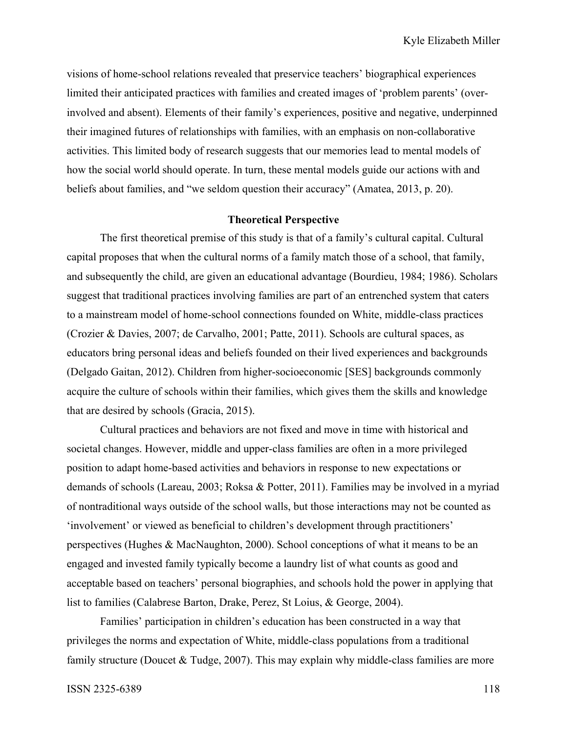visions of home-school relations revealed that preservice teachers' biographical experiences limited their anticipated practices with families and created images of 'problem parents' (overinvolved and absent). Elements of their family's experiences, positive and negative, underpinned their imagined futures of relationships with families, with an emphasis on non-collaborative activities. This limited body of research suggests that our memories lead to mental models of how the social world should operate. In turn, these mental models guide our actions with and beliefs about families, and "we seldom question their accuracy" (Amatea, 2013, p. 20).

# **Theoretical Perspective**

The first theoretical premise of this study is that of a family's cultural capital. Cultural capital proposes that when the cultural norms of a family match those of a school, that family, and subsequently the child, are given an educational advantage (Bourdieu, 1984; 1986). Scholars suggest that traditional practices involving families are part of an entrenched system that caters to a mainstream model of home-school connections founded on White, middle-class practices (Crozier & Davies, 2007; de Carvalho, 2001; Patte, 2011). Schools are cultural spaces, as educators bring personal ideas and beliefs founded on their lived experiences and backgrounds (Delgado Gaitan, 2012). Children from higher-socioeconomic [SES] backgrounds commonly acquire the culture of schools within their families, which gives them the skills and knowledge that are desired by schools (Gracia, 2015).

Cultural practices and behaviors are not fixed and move in time with historical and societal changes. However, middle and upper-class families are often in a more privileged position to adapt home-based activities and behaviors in response to new expectations or demands of schools (Lareau, 2003; Roksa & Potter, 2011). Families may be involved in a myriad of nontraditional ways outside of the school walls, but those interactions may not be counted as 'involvement' or viewed as beneficial to children's development through practitioners' perspectives (Hughes & MacNaughton, 2000). School conceptions of what it means to be an engaged and invested family typically become a laundry list of what counts as good and acceptable based on teachers' personal biographies, and schools hold the power in applying that list to families (Calabrese Barton, Drake, Perez, St Loius, & George, 2004).

Families' participation in children's education has been constructed in a way that privileges the norms and expectation of White, middle-class populations from a traditional family structure (Doucet & Tudge, 2007). This may explain why middle-class families are more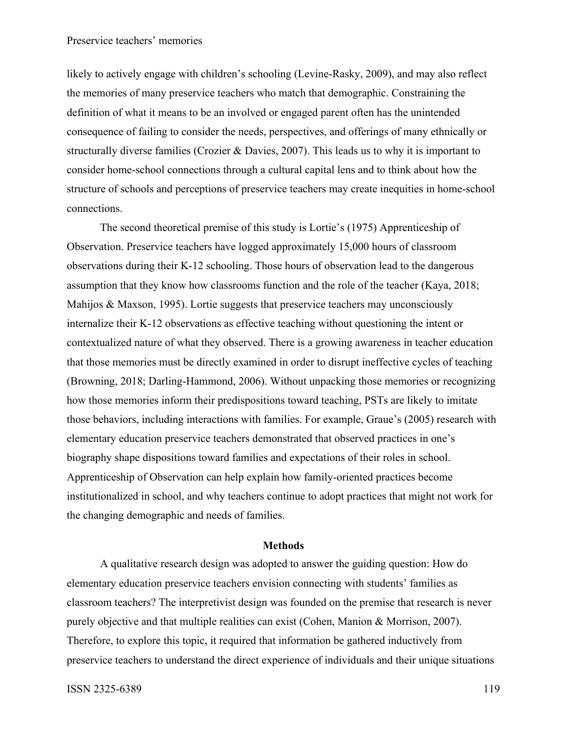## Preservice teachers' memories

likely to actively engage with children's schooling (Levine-Rasky, 2009), and may also reflect the memories of many preservice teachers who match that demographic. Constraining the definition of what it means to be an involved or engaged parent often has the unintended consequence of failing to consider the needs, perspectives, and offerings of many ethnically or structurally diverse families (Crozier & Davies, 2007). This leads us to why it is important to consider home-school connections through a cultural capital lens and to think about how the structure of schools and perceptions of preservice teachers may create inequities in home-school connections.

The second theoretical premise of this study is Lortie's (1975) Apprenticeship of Observation. Preservice teachers have logged approximately 15,000 hours of classroom observations during their K-12 schooling. Those hours of observation lead to the dangerous assumption that they know how classrooms function and the role of the teacher (Kaya, 2018; Mahijos & Maxson, 1995). Lortie suggests that preservice teachers may unconsciously internalize their K-12 observations as effective teaching without questioning the intent or contextualized nature of what they observed. There is a growing awareness in teacher education that those memories must be directly examined in order to disrupt ineffective cycles of teaching (Browning, 2018; Darling-Hammond, 2006). Without unpacking those memories or recognizing how those memories inform their predispositions toward teaching, PSTs are likely to imitate those behaviors, including interactions with families. For example, Graue's (2005) research with elementary education preservice teachers demonstrated that observed practices in one's biography shape dispositions toward families and expectations of their roles in school. Apprenticeship of Observation can help explain how family-oriented practices become institutionalized in school, and why teachers continue to adopt practices that might not work for the changing demographic and needs of families.

#### **Methods**

A qualitative research design was adopted to answer the guiding question: How do elementary education preservice teachers envision connecting with students' families as classroom teachers? The interpretivist design was founded on the premise that research is never purely objective and that multiple realities can exist (Cohen, Manion & Morrison, 2007). Therefore, to explore this topic, it required that information be gathered inductively from preservice teachers to understand the direct experience of individuals and their unique situations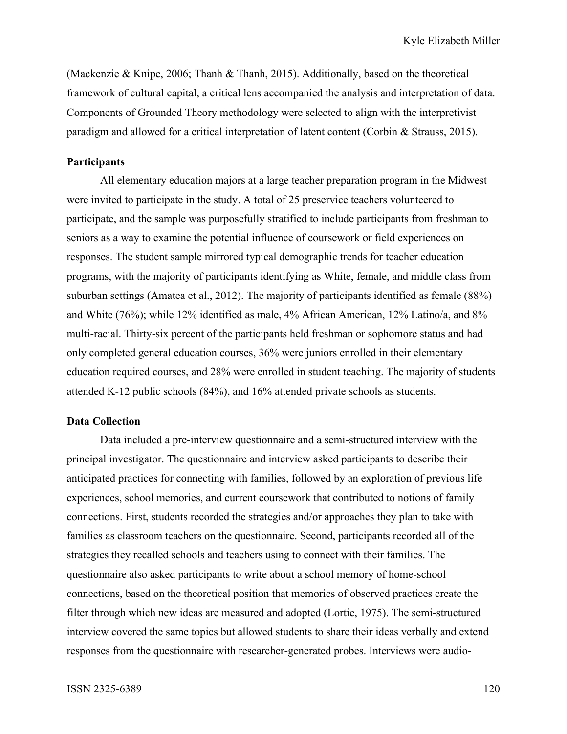(Mackenzie & Knipe, 2006; Thanh & Thanh, 2015). Additionally, based on the theoretical framework of cultural capital, a critical lens accompanied the analysis and interpretation of data. Components of Grounded Theory methodology were selected to align with the interpretivist paradigm and allowed for a critical interpretation of latent content (Corbin & Strauss, 2015).

#### **Participants**

All elementary education majors at a large teacher preparation program in the Midwest were invited to participate in the study. A total of 25 preservice teachers volunteered to participate, and the sample was purposefully stratified to include participants from freshman to seniors as a way to examine the potential influence of coursework or field experiences on responses. The student sample mirrored typical demographic trends for teacher education programs, with the majority of participants identifying as White, female, and middle class from suburban settings (Amatea et al., 2012). The majority of participants identified as female (88%) and White (76%); while 12% identified as male, 4% African American, 12% Latino/a, and 8% multi-racial. Thirty-six percent of the participants held freshman or sophomore status and had only completed general education courses, 36% were juniors enrolled in their elementary education required courses, and 28% were enrolled in student teaching. The majority of students attended K-12 public schools (84%), and 16% attended private schools as students.

### **Data Collection**

Data included a pre-interview questionnaire and a semi-structured interview with the principal investigator. The questionnaire and interview asked participants to describe their anticipated practices for connecting with families, followed by an exploration of previous life experiences, school memories, and current coursework that contributed to notions of family connections. First, students recorded the strategies and/or approaches they plan to take with families as classroom teachers on the questionnaire. Second, participants recorded all of the strategies they recalled schools and teachers using to connect with their families. The questionnaire also asked participants to write about a school memory of home-school connections, based on the theoretical position that memories of observed practices create the filter through which new ideas are measured and adopted (Lortie, 1975). The semi-structured interview covered the same topics but allowed students to share their ideas verbally and extend responses from the questionnaire with researcher-generated probes. Interviews were audio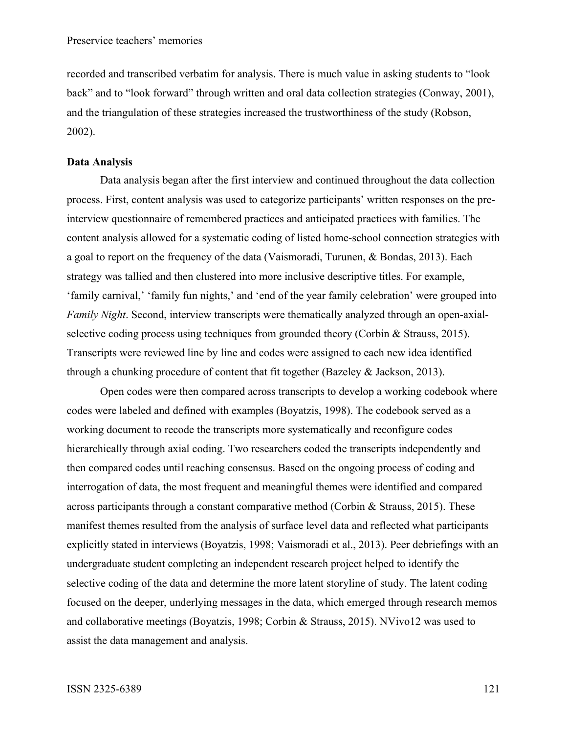recorded and transcribed verbatim for analysis. There is much value in asking students to "look back" and to "look forward" through written and oral data collection strategies (Conway, 2001), and the triangulation of these strategies increased the trustworthiness of the study (Robson, 2002).

#### **Data Analysis**

Data analysis began after the first interview and continued throughout the data collection process. First, content analysis was used to categorize participants' written responses on the preinterview questionnaire of remembered practices and anticipated practices with families. The content analysis allowed for a systematic coding of listed home-school connection strategies with a goal to report on the frequency of the data (Vaismoradi, Turunen, & Bondas, 2013). Each strategy was tallied and then clustered into more inclusive descriptive titles. For example, 'family carnival,' 'family fun nights,' and 'end of the year family celebration' were grouped into *Family Night*. Second, interview transcripts were thematically analyzed through an open-axialselective coding process using techniques from grounded theory (Corbin & Strauss, 2015). Transcripts were reviewed line by line and codes were assigned to each new idea identified through a chunking procedure of content that fit together (Bazeley & Jackson, 2013).

Open codes were then compared across transcripts to develop a working codebook where codes were labeled and defined with examples (Boyatzis, 1998). The codebook served as a working document to recode the transcripts more systematically and reconfigure codes hierarchically through axial coding. Two researchers coded the transcripts independently and then compared codes until reaching consensus. Based on the ongoing process of coding and interrogation of data, the most frequent and meaningful themes were identified and compared across participants through a constant comparative method (Corbin & Strauss, 2015). These manifest themes resulted from the analysis of surface level data and reflected what participants explicitly stated in interviews (Boyatzis, 1998; Vaismoradi et al., 2013). Peer debriefings with an undergraduate student completing an independent research project helped to identify the selective coding of the data and determine the more latent storyline of study. The latent coding focused on the deeper, underlying messages in the data, which emerged through research memos and collaborative meetings (Boyatzis, 1998; Corbin & Strauss, 2015). NVivo12 was used to assist the data management and analysis.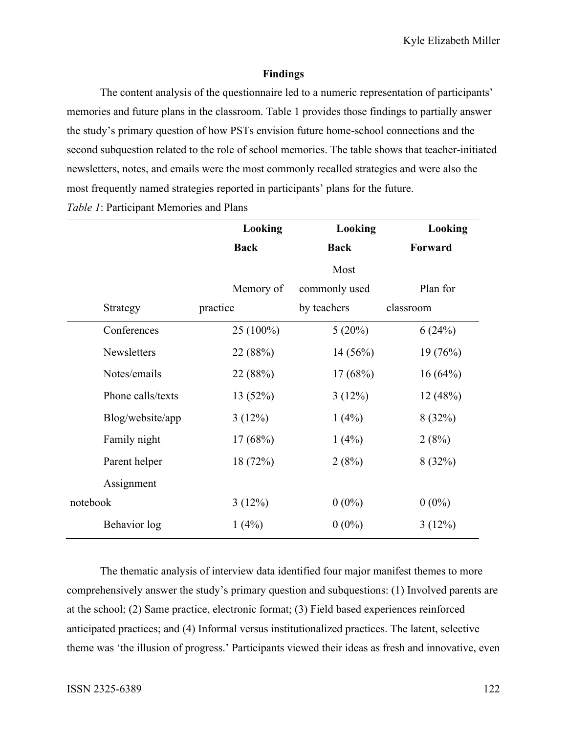# **Findings**

The content analysis of the questionnaire led to a numeric representation of participants' memories and future plans in the classroom. Table 1 provides those findings to partially answer the study's primary question of how PSTs envision future home-school connections and the second subquestion related to the role of school memories. The table shows that teacher-initiated newsletters, notes, and emails were the most commonly recalled strategies and were also the most frequently named strategies reported in participants' plans for the future.

|                   | Looking     | Looking       | Looking   |
|-------------------|-------------|---------------|-----------|
|                   | <b>Back</b> | <b>Back</b>   | Forward   |
|                   |             | Most          |           |
|                   | Memory of   | commonly used | Plan for  |
| Strategy          | practice    | by teachers   | classroom |
| Conferences       | 25 (100%)   | 5(20%)        | 6(24%)    |
| Newsletters       | 22 (88%)    | 14(56%)       | 19(76%)   |
| Notes/emails      | 22 (88%)    | 17(68%)       | 16(64%)   |
| Phone calls/texts | 13(52%)     | 3(12%)        | 12(48%)   |
| Blog/website/app  | 3(12%)      | 1(4%)         | 8(32%)    |
| Family night      | 17(68%)     | 1(4%)         | 2(8%)     |
| Parent helper     | 18 (72%)    | 2(8%)         | 8(32%)    |
| Assignment        |             |               |           |
| notebook          | 3(12%)      | $0(0\%)$      | $0(0\%)$  |
| Behavior log      | 1(4%)       | $0(0\%)$      | 3(12%)    |

*Table 1*: Participant Memories and Plans

The thematic analysis of interview data identified four major manifest themes to more comprehensively answer the study's primary question and subquestions: (1) Involved parents are at the school; (2) Same practice, electronic format; (3) Field based experiences reinforced anticipated practices; and (4) Informal versus institutionalized practices. The latent, selective theme was 'the illusion of progress.' Participants viewed their ideas as fresh and innovative, even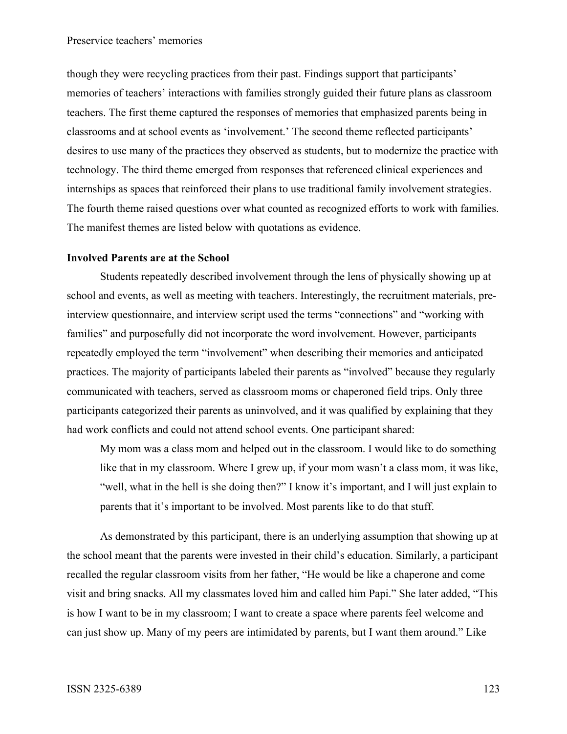though they were recycling practices from their past. Findings support that participants' memories of teachers' interactions with families strongly guided their future plans as classroom teachers. The first theme captured the responses of memories that emphasized parents being in classrooms and at school events as 'involvement.' The second theme reflected participants' desires to use many of the practices they observed as students, but to modernize the practice with technology. The third theme emerged from responses that referenced clinical experiences and internships as spaces that reinforced their plans to use traditional family involvement strategies. The fourth theme raised questions over what counted as recognized efforts to work with families. The manifest themes are listed below with quotations as evidence.

## **Involved Parents are at the School**

Students repeatedly described involvement through the lens of physically showing up at school and events, as well as meeting with teachers. Interestingly, the recruitment materials, preinterview questionnaire, and interview script used the terms "connections" and "working with families" and purposefully did not incorporate the word involvement. However, participants repeatedly employed the term "involvement" when describing their memories and anticipated practices. The majority of participants labeled their parents as "involved" because they regularly communicated with teachers, served as classroom moms or chaperoned field trips. Only three participants categorized their parents as uninvolved, and it was qualified by explaining that they had work conflicts and could not attend school events. One participant shared:

My mom was a class mom and helped out in the classroom. I would like to do something like that in my classroom. Where I grew up, if your mom wasn't a class mom, it was like, "well, what in the hell is she doing then?" I know it's important, and I will just explain to parents that it's important to be involved. Most parents like to do that stuff.

As demonstrated by this participant, there is an underlying assumption that showing up at the school meant that the parents were invested in their child's education. Similarly, a participant recalled the regular classroom visits from her father, "He would be like a chaperone and come visit and bring snacks. All my classmates loved him and called him Papi." She later added, "This is how I want to be in my classroom; I want to create a space where parents feel welcome and can just show up. Many of my peers are intimidated by parents, but I want them around." Like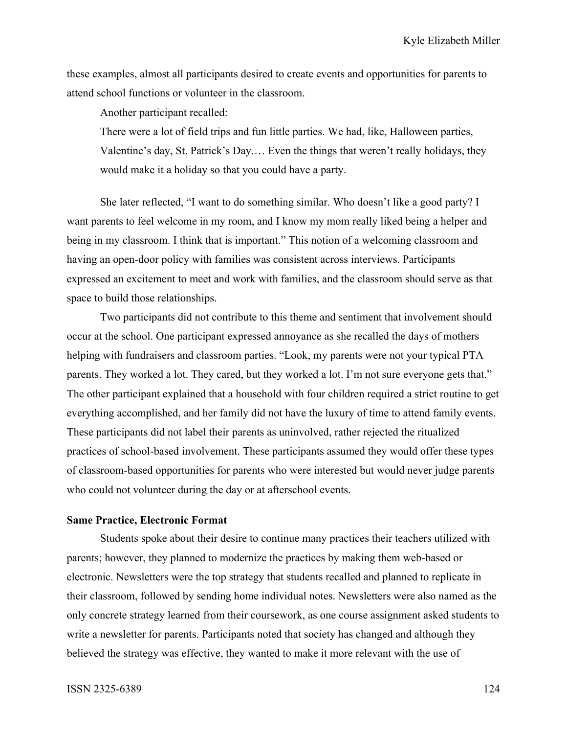these examples, almost all participants desired to create events and opportunities for parents to attend school functions or volunteer in the classroom.

Another participant recalled:

There were a lot of field trips and fun little parties. We had, like, Halloween parties, Valentine's day, St. Patrick's Day.… Even the things that weren't really holidays, they would make it a holiday so that you could have a party.

She later reflected, "I want to do something similar. Who doesn't like a good party? I want parents to feel welcome in my room, and I know my mom really liked being a helper and being in my classroom. I think that is important." This notion of a welcoming classroom and having an open-door policy with families was consistent across interviews. Participants expressed an excitement to meet and work with families, and the classroom should serve as that space to build those relationships.

Two participants did not contribute to this theme and sentiment that involvement should occur at the school. One participant expressed annoyance as she recalled the days of mothers helping with fundraisers and classroom parties. "Look, my parents were not your typical PTA parents. They worked a lot. They cared, but they worked a lot. I'm not sure everyone gets that." The other participant explained that a household with four children required a strict routine to get everything accomplished, and her family did not have the luxury of time to attend family events. These participants did not label their parents as uninvolved, rather rejected the ritualized practices of school-based involvement. These participants assumed they would offer these types of classroom-based opportunities for parents who were interested but would never judge parents who could not volunteer during the day or at afterschool events.

# **Same Practice, Electronic Format**

Students spoke about their desire to continue many practices their teachers utilized with parents; however, they planned to modernize the practices by making them web-based or electronic. Newsletters were the top strategy that students recalled and planned to replicate in their classroom, followed by sending home individual notes. Newsletters were also named as the only concrete strategy learned from their coursework, as one course assignment asked students to write a newsletter for parents. Participants noted that society has changed and although they believed the strategy was effective, they wanted to make it more relevant with the use of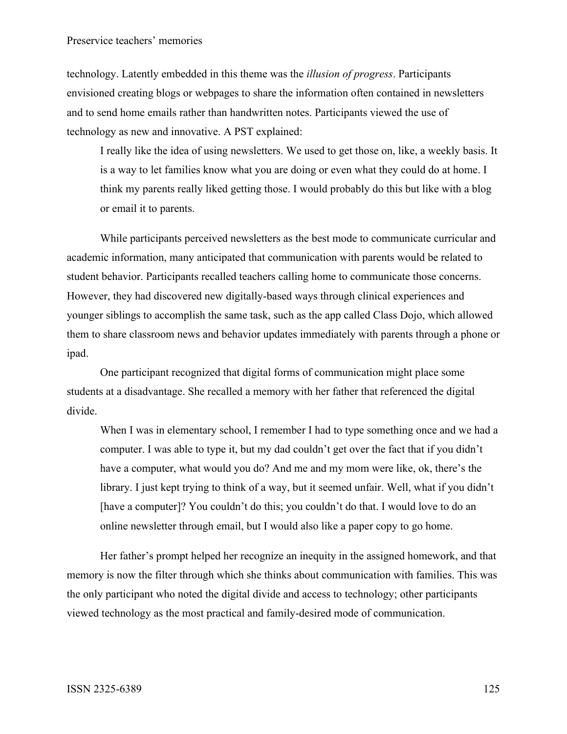## Preservice teachers' memories

technology. Latently embedded in this theme was the *illusion of progress*. Participants envisioned creating blogs or webpages to share the information often contained in newsletters and to send home emails rather than handwritten notes. Participants viewed the use of technology as new and innovative. A PST explained:

I really like the idea of using newsletters. We used to get those on, like, a weekly basis. It is a way to let families know what you are doing or even what they could do at home. I think my parents really liked getting those. I would probably do this but like with a blog or email it to parents.

While participants perceived newsletters as the best mode to communicate curricular and academic information, many anticipated that communication with parents would be related to student behavior. Participants recalled teachers calling home to communicate those concerns. However, they had discovered new digitally-based ways through clinical experiences and younger siblings to accomplish the same task, such as the app called Class Dojo, which allowed them to share classroom news and behavior updates immediately with parents through a phone or ipad.

One participant recognized that digital forms of communication might place some students at a disadvantage. She recalled a memory with her father that referenced the digital divide.

When I was in elementary school, I remember I had to type something once and we had a computer. I was able to type it, but my dad couldn't get over the fact that if you didn't have a computer, what would you do? And me and my mom were like, ok, there's the library. I just kept trying to think of a way, but it seemed unfair. Well, what if you didn't [have a computer]? You couldn't do this; you couldn't do that. I would love to do an online newsletter through email, but I would also like a paper copy to go home.

Her father's prompt helped her recognize an inequity in the assigned homework, and that memory is now the filter through which she thinks about communication with families. This was the only participant who noted the digital divide and access to technology; other participants viewed technology as the most practical and family-desired mode of communication.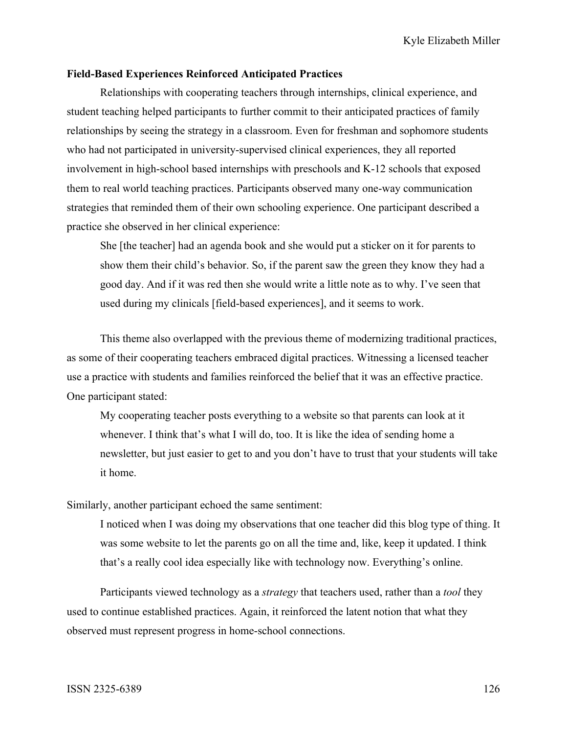## **Field-Based Experiences Reinforced Anticipated Practices**

Relationships with cooperating teachers through internships, clinical experience, and student teaching helped participants to further commit to their anticipated practices of family relationships by seeing the strategy in a classroom. Even for freshman and sophomore students who had not participated in university-supervised clinical experiences, they all reported involvement in high-school based internships with preschools and K-12 schools that exposed them to real world teaching practices. Participants observed many one-way communication strategies that reminded them of their own schooling experience. One participant described a practice she observed in her clinical experience:

She [the teacher] had an agenda book and she would put a sticker on it for parents to show them their child's behavior. So, if the parent saw the green they know they had a good day. And if it was red then she would write a little note as to why. I've seen that used during my clinicals [field-based experiences], and it seems to work.

This theme also overlapped with the previous theme of modernizing traditional practices, as some of their cooperating teachers embraced digital practices. Witnessing a licensed teacher use a practice with students and families reinforced the belief that it was an effective practice. One participant stated:

My cooperating teacher posts everything to a website so that parents can look at it whenever. I think that's what I will do, too. It is like the idea of sending home a newsletter, but just easier to get to and you don't have to trust that your students will take it home.

Similarly, another participant echoed the same sentiment:

I noticed when I was doing my observations that one teacher did this blog type of thing. It was some website to let the parents go on all the time and, like, keep it updated. I think that's a really cool idea especially like with technology now. Everything's online.

Participants viewed technology as a *strategy* that teachers used, rather than a *tool* they used to continue established practices. Again, it reinforced the latent notion that what they observed must represent progress in home-school connections.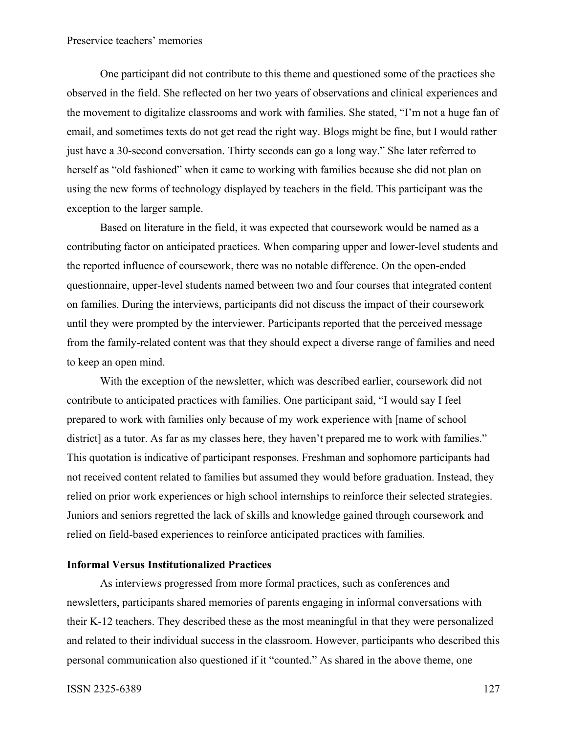# Preservice teachers' memories

One participant did not contribute to this theme and questioned some of the practices she observed in the field. She reflected on her two years of observations and clinical experiences and the movement to digitalize classrooms and work with families. She stated, "I'm not a huge fan of email, and sometimes texts do not get read the right way. Blogs might be fine, but I would rather just have a 30-second conversation. Thirty seconds can go a long way." She later referred to herself as "old fashioned" when it came to working with families because she did not plan on using the new forms of technology displayed by teachers in the field. This participant was the exception to the larger sample.

Based on literature in the field, it was expected that coursework would be named as a contributing factor on anticipated practices. When comparing upper and lower-level students and the reported influence of coursework, there was no notable difference. On the open-ended questionnaire, upper-level students named between two and four courses that integrated content on families. During the interviews, participants did not discuss the impact of their coursework until they were prompted by the interviewer. Participants reported that the perceived message from the family-related content was that they should expect a diverse range of families and need to keep an open mind.

With the exception of the newsletter, which was described earlier, coursework did not contribute to anticipated practices with families. One participant said, "I would say I feel prepared to work with families only because of my work experience with [name of school district] as a tutor. As far as my classes here, they haven't prepared me to work with families." This quotation is indicative of participant responses. Freshman and sophomore participants had not received content related to families but assumed they would before graduation. Instead, they relied on prior work experiences or high school internships to reinforce their selected strategies. Juniors and seniors regretted the lack of skills and knowledge gained through coursework and relied on field-based experiences to reinforce anticipated practices with families.

#### **Informal Versus Institutionalized Practices**

As interviews progressed from more formal practices, such as conferences and newsletters, participants shared memories of parents engaging in informal conversations with their K-12 teachers. They described these as the most meaningful in that they were personalized and related to their individual success in the classroom. However, participants who described this personal communication also questioned if it "counted." As shared in the above theme, one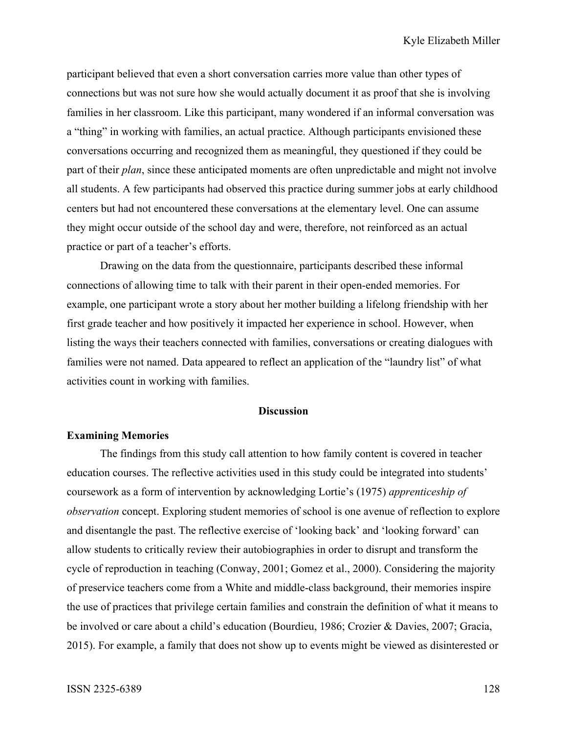participant believed that even a short conversation carries more value than other types of connections but was not sure how she would actually document it as proof that she is involving families in her classroom. Like this participant, many wondered if an informal conversation was a "thing" in working with families, an actual practice. Although participants envisioned these conversations occurring and recognized them as meaningful, they questioned if they could be part of their *plan*, since these anticipated moments are often unpredictable and might not involve all students. A few participants had observed this practice during summer jobs at early childhood centers but had not encountered these conversations at the elementary level. One can assume they might occur outside of the school day and were, therefore, not reinforced as an actual practice or part of a teacher's efforts.

Drawing on the data from the questionnaire, participants described these informal connections of allowing time to talk with their parent in their open-ended memories. For example, one participant wrote a story about her mother building a lifelong friendship with her first grade teacher and how positively it impacted her experience in school. However, when listing the ways their teachers connected with families, conversations or creating dialogues with families were not named. Data appeared to reflect an application of the "laundry list" of what activities count in working with families.

## **Discussion**

## **Examining Memories**

The findings from this study call attention to how family content is covered in teacher education courses. The reflective activities used in this study could be integrated into students' coursework as a form of intervention by acknowledging Lortie's (1975) *apprenticeship of observation* concept. Exploring student memories of school is one avenue of reflection to explore and disentangle the past. The reflective exercise of 'looking back' and 'looking forward' can allow students to critically review their autobiographies in order to disrupt and transform the cycle of reproduction in teaching (Conway, 2001; Gomez et al., 2000). Considering the majority of preservice teachers come from a White and middle-class background, their memories inspire the use of practices that privilege certain families and constrain the definition of what it means to be involved or care about a child's education (Bourdieu, 1986; Crozier & Davies, 2007; Gracia, 2015). For example, a family that does not show up to events might be viewed as disinterested or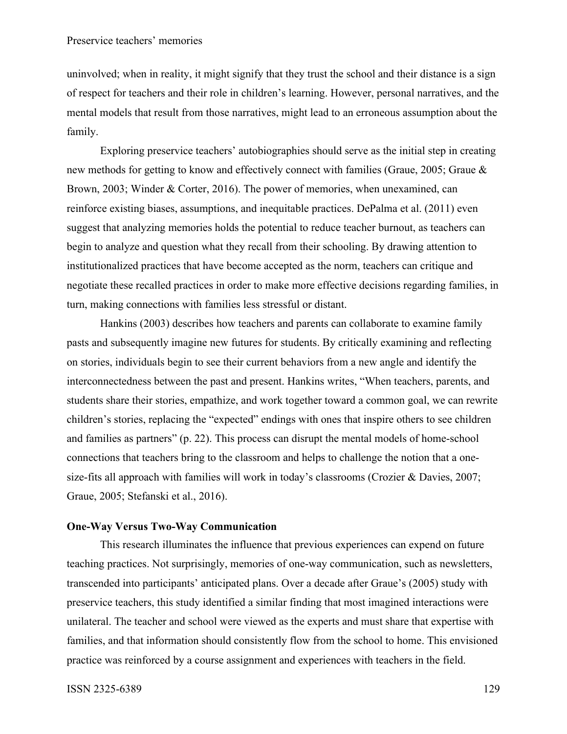uninvolved; when in reality, it might signify that they trust the school and their distance is a sign of respect for teachers and their role in children's learning. However, personal narratives, and the mental models that result from those narratives, might lead to an erroneous assumption about the family.

Exploring preservice teachers' autobiographies should serve as the initial step in creating new methods for getting to know and effectively connect with families (Graue, 2005; Graue & Brown, 2003; Winder & Corter, 2016). The power of memories, when unexamined, can reinforce existing biases, assumptions, and inequitable practices. DePalma et al. (2011) even suggest that analyzing memories holds the potential to reduce teacher burnout, as teachers can begin to analyze and question what they recall from their schooling. By drawing attention to institutionalized practices that have become accepted as the norm, teachers can critique and negotiate these recalled practices in order to make more effective decisions regarding families, in turn, making connections with families less stressful or distant.

Hankins (2003) describes how teachers and parents can collaborate to examine family pasts and subsequently imagine new futures for students. By critically examining and reflecting on stories, individuals begin to see their current behaviors from a new angle and identify the interconnectedness between the past and present. Hankins writes, "When teachers, parents, and students share their stories, empathize, and work together toward a common goal, we can rewrite children's stories, replacing the "expected" endings with ones that inspire others to see children and families as partners" (p. 22). This process can disrupt the mental models of home-school connections that teachers bring to the classroom and helps to challenge the notion that a onesize-fits all approach with families will work in today's classrooms (Crozier & Davies, 2007; Graue, 2005; Stefanski et al., 2016).

# **One-Way Versus Two-Way Communication**

This research illuminates the influence that previous experiences can expend on future teaching practices. Not surprisingly, memories of one-way communication, such as newsletters, transcended into participants' anticipated plans. Over a decade after Graue's (2005) study with preservice teachers, this study identified a similar finding that most imagined interactions were unilateral. The teacher and school were viewed as the experts and must share that expertise with families, and that information should consistently flow from the school to home. This envisioned practice was reinforced by a course assignment and experiences with teachers in the field.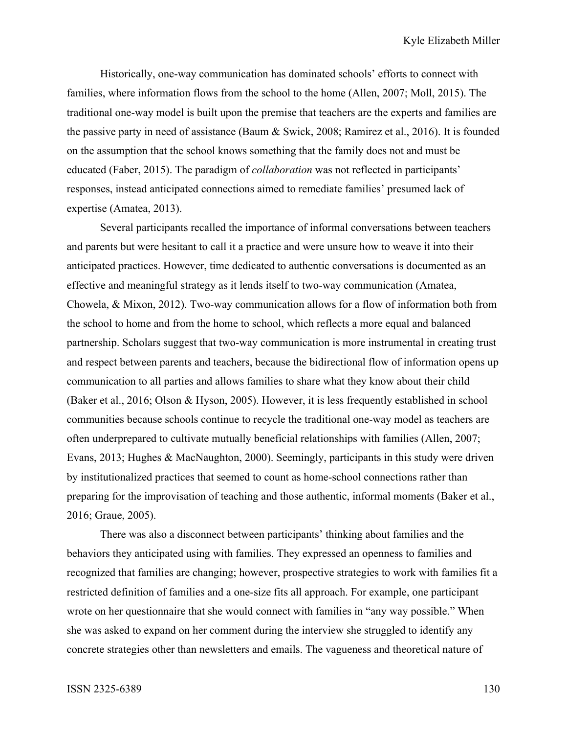Historically, one-way communication has dominated schools' efforts to connect with families, where information flows from the school to the home (Allen, 2007; Moll, 2015). The traditional one-way model is built upon the premise that teachers are the experts and families are the passive party in need of assistance (Baum & Swick, 2008; Ramirez et al., 2016). It is founded on the assumption that the school knows something that the family does not and must be educated (Faber, 2015). The paradigm of *collaboration* was not reflected in participants' responses, instead anticipated connections aimed to remediate families' presumed lack of expertise (Amatea, 2013).

Several participants recalled the importance of informal conversations between teachers and parents but were hesitant to call it a practice and were unsure how to weave it into their anticipated practices. However, time dedicated to authentic conversations is documented as an effective and meaningful strategy as it lends itself to two-way communication (Amatea, Chowela, & Mixon, 2012). Two-way communication allows for a flow of information both from the school to home and from the home to school, which reflects a more equal and balanced partnership. Scholars suggest that two-way communication is more instrumental in creating trust and respect between parents and teachers, because the bidirectional flow of information opens up communication to all parties and allows families to share what they know about their child (Baker et al., 2016; Olson & Hyson, 2005). However, it is less frequently established in school communities because schools continue to recycle the traditional one-way model as teachers are often underprepared to cultivate mutually beneficial relationships with families (Allen, 2007; Evans, 2013; Hughes & MacNaughton, 2000). Seemingly, participants in this study were driven by institutionalized practices that seemed to count as home-school connections rather than preparing for the improvisation of teaching and those authentic, informal moments (Baker et al., 2016; Graue, 2005).

There was also a disconnect between participants' thinking about families and the behaviors they anticipated using with families. They expressed an openness to families and recognized that families are changing; however, prospective strategies to work with families fit a restricted definition of families and a one-size fits all approach. For example, one participant wrote on her questionnaire that she would connect with families in "any way possible." When she was asked to expand on her comment during the interview she struggled to identify any concrete strategies other than newsletters and emails. The vagueness and theoretical nature of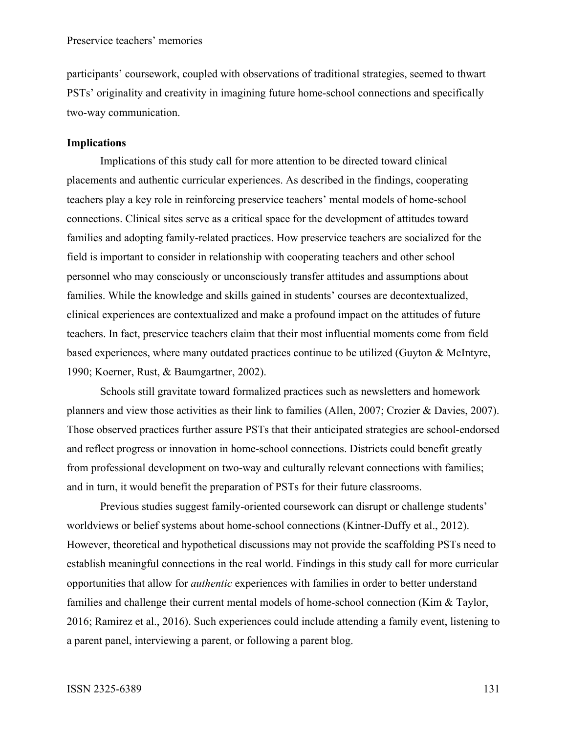participants' coursework, coupled with observations of traditional strategies, seemed to thwart PSTs' originality and creativity in imagining future home-school connections and specifically two-way communication.

# **Implications**

Implications of this study call for more attention to be directed toward clinical placements and authentic curricular experiences. As described in the findings, cooperating teachers play a key role in reinforcing preservice teachers' mental models of home-school connections. Clinical sites serve as a critical space for the development of attitudes toward families and adopting family-related practices. How preservice teachers are socialized for the field is important to consider in relationship with cooperating teachers and other school personnel who may consciously or unconsciously transfer attitudes and assumptions about families. While the knowledge and skills gained in students' courses are decontextualized, clinical experiences are contextualized and make a profound impact on the attitudes of future teachers. In fact, preservice teachers claim that their most influential moments come from field based experiences, where many outdated practices continue to be utilized (Guyton & McIntyre, 1990; Koerner, Rust, & Baumgartner, 2002).

Schools still gravitate toward formalized practices such as newsletters and homework planners and view those activities as their link to families (Allen, 2007; Crozier & Davies, 2007). Those observed practices further assure PSTs that their anticipated strategies are school-endorsed and reflect progress or innovation in home-school connections. Districts could benefit greatly from professional development on two-way and culturally relevant connections with families; and in turn, it would benefit the preparation of PSTs for their future classrooms.

Previous studies suggest family-oriented coursework can disrupt or challenge students' worldviews or belief systems about home-school connections (Kintner-Duffy et al., 2012). However, theoretical and hypothetical discussions may not provide the scaffolding PSTs need to establish meaningful connections in the real world. Findings in this study call for more curricular opportunities that allow for *authentic* experiences with families in order to better understand families and challenge their current mental models of home-school connection (Kim & Taylor, 2016; Ramirez et al., 2016). Such experiences could include attending a family event, listening to a parent panel, interviewing a parent, or following a parent blog.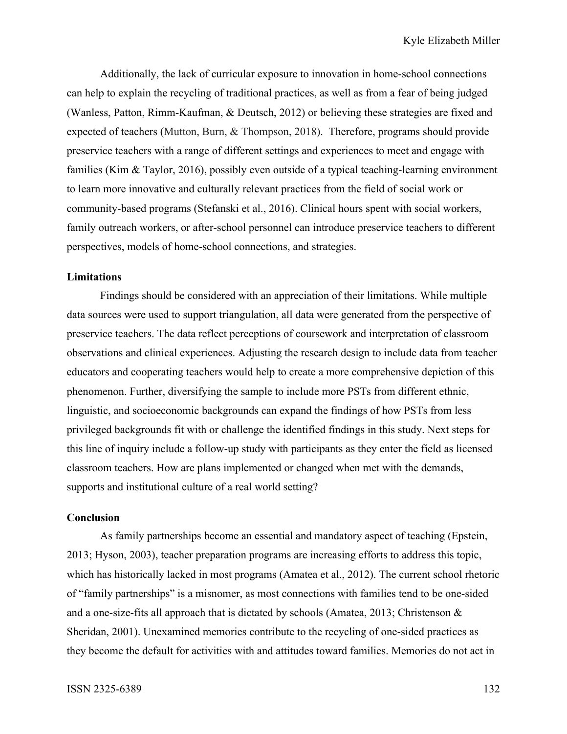Additionally, the lack of curricular exposure to innovation in home-school connections can help to explain the recycling of traditional practices, as well as from a fear of being judged (Wanless, Patton, Rimm-Kaufman, & Deutsch, 2012) or believing these strategies are fixed and expected of teachers (Mutton, Burn, & Thompson, 2018). Therefore, programs should provide preservice teachers with a range of different settings and experiences to meet and engage with families (Kim & Taylor, 2016), possibly even outside of a typical teaching-learning environment to learn more innovative and culturally relevant practices from the field of social work or community-based programs (Stefanski et al., 2016). Clinical hours spent with social workers, family outreach workers, or after-school personnel can introduce preservice teachers to different perspectives, models of home-school connections, and strategies.

### **Limitations**

Findings should be considered with an appreciation of their limitations. While multiple data sources were used to support triangulation, all data were generated from the perspective of preservice teachers. The data reflect perceptions of coursework and interpretation of classroom observations and clinical experiences. Adjusting the research design to include data from teacher educators and cooperating teachers would help to create a more comprehensive depiction of this phenomenon. Further, diversifying the sample to include more PSTs from different ethnic, linguistic, and socioeconomic backgrounds can expand the findings of how PSTs from less privileged backgrounds fit with or challenge the identified findings in this study. Next steps for this line of inquiry include a follow-up study with participants as they enter the field as licensed classroom teachers. How are plans implemented or changed when met with the demands, supports and institutional culture of a real world setting?

## **Conclusion**

As family partnerships become an essential and mandatory aspect of teaching (Epstein, 2013; Hyson, 2003), teacher preparation programs are increasing efforts to address this topic, which has historically lacked in most programs (Amatea et al., 2012). The current school rhetoric of "family partnerships" is a misnomer, as most connections with families tend to be one-sided and a one-size-fits all approach that is dictated by schools (Amatea, 2013; Christenson & Sheridan, 2001). Unexamined memories contribute to the recycling of one-sided practices as they become the default for activities with and attitudes toward families. Memories do not act in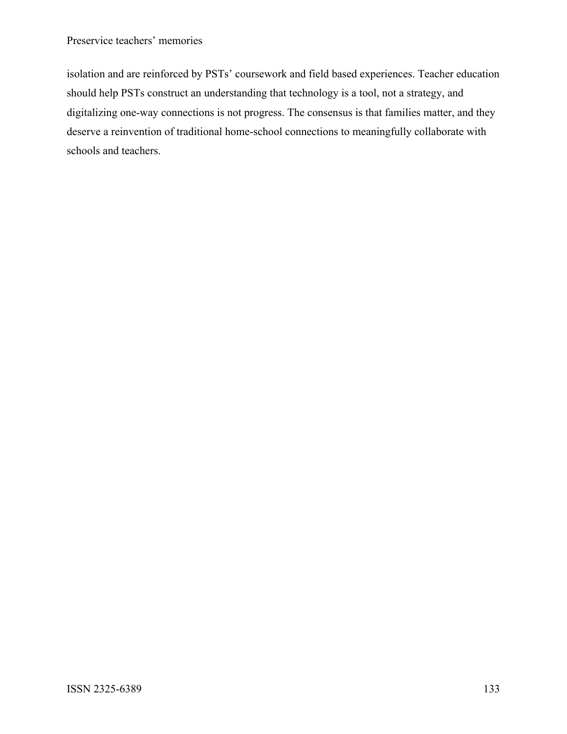# Preservice teachers' memories

isolation and are reinforced by PSTs' coursework and field based experiences. Teacher education should help PSTs construct an understanding that technology is a tool, not a strategy, and digitalizing one-way connections is not progress. The consensus is that families matter, and they deserve a reinvention of traditional home-school connections to meaningfully collaborate with schools and teachers.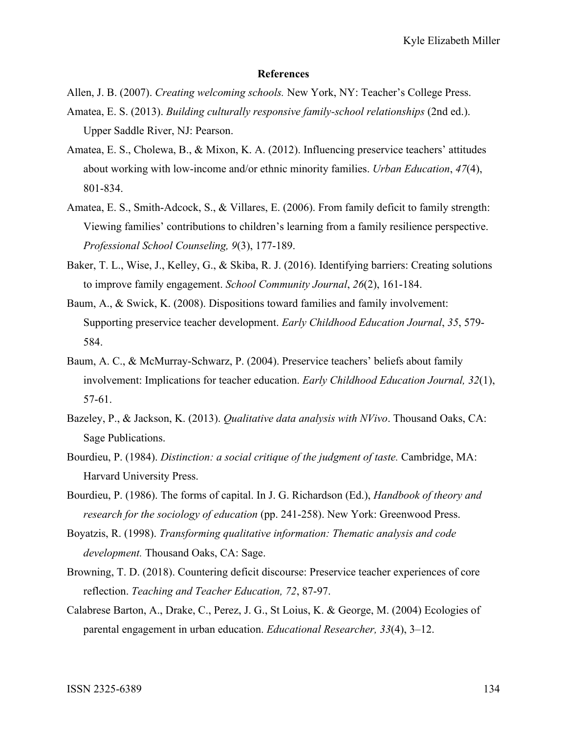#### **References**

Allen, J. B. (2007). *Creating welcoming schools.* New York, NY: Teacher's College Press.

- Amatea, E. S. (2013). *Building culturally responsive family-school relationships* (2nd ed.). Upper Saddle River, NJ: Pearson.
- Amatea, E. S., Cholewa, B., & Mixon, K. A. (2012). Influencing preservice teachers' attitudes about working with low-income and/or ethnic minority families. *Urban Education*, *47*(4), 801-834.
- Amatea, E. S., Smith-Adcock, S., & Villares, E. (2006). From family deficit to family strength: Viewing families' contributions to children's learning from a family resilience perspective. *Professional School Counseling, 9*(3), 177-189.
- Baker, T. L., Wise, J., Kelley, G., & Skiba, R. J. (2016). Identifying barriers: Creating solutions to improve family engagement. *School Community Journal*, *26*(2), 161-184.
- Baum, A., & Swick, K. (2008). Dispositions toward families and family involvement: Supporting preservice teacher development. *Early Childhood Education Journal*, *35*, 579- 584.
- Baum, A. C., & McMurray-Schwarz, P. (2004). Preservice teachers' beliefs about family involvement: Implications for teacher education. *Early Childhood Education Journal, 32*(1), 57-61.
- Bazeley, P., & Jackson, K. (2013). *Qualitative data analysis with NVivo*. Thousand Oaks, CA: Sage Publications.
- Bourdieu, P. (1984). *Distinction: a social critique of the judgment of taste.* Cambridge, MA: Harvard University Press.
- Bourdieu, P. (1986). The forms of capital. In J. G. Richardson (Ed.), *Handbook of theory and research for the sociology of education* (pp. 241-258). New York: Greenwood Press.
- Boyatzis, R. (1998). *Transforming qualitative information: Thematic analysis and code development.* Thousand Oaks, CA: Sage.
- Browning, T. D. (2018). Countering deficit discourse: Preservice teacher experiences of core reflection. *Teaching and Teacher Education, 72*, 87-97.
- Calabrese Barton, A., Drake, C., Perez, J. G., St Loius, K. & George, M. (2004) Ecologies of parental engagement in urban education. *Educational Researcher, 33*(4), 3–12.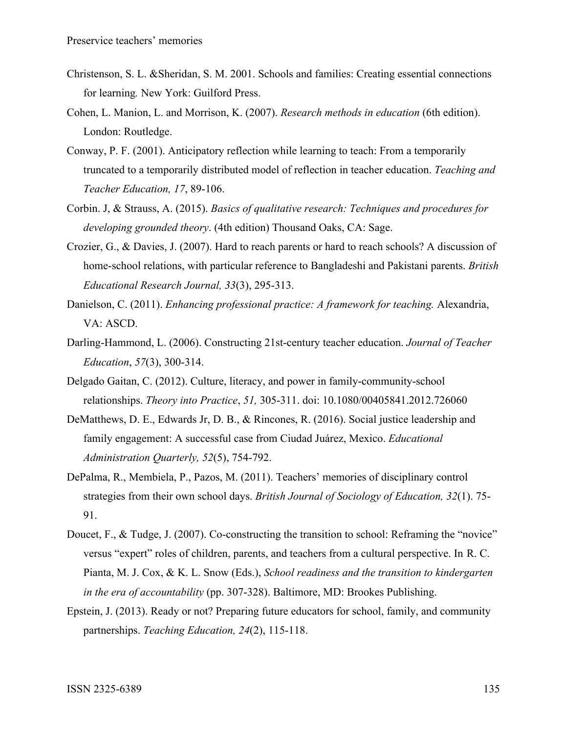- Christenson, S. L. &Sheridan, S. M. 2001. Schools and families: Creating essential connections for learning*.* New York: Guilford Press.
- Cohen, L. Manion, L. and Morrison, K. (2007). *Research methods in education* (6th edition). London: Routledge.
- Conway, P. F. (2001). Anticipatory reflection while learning to teach: From a temporarily truncated to a temporarily distributed model of reflection in teacher education. *Teaching and Teacher Education, 17*, 89-106.
- Corbin. J, & Strauss, A. (2015). *Basics of qualitative research: Techniques and procedures for developing grounded theory*. (4th edition) Thousand Oaks, CA: Sage.
- Crozier, G., & Davies, J. (2007). Hard to reach parents or hard to reach schools? A discussion of home-school relations, with particular reference to Bangladeshi and Pakistani parents. *British Educational Research Journal, 33*(3), 295-313.
- Danielson, C. (2011). *Enhancing professional practice: A framework for teaching.* Alexandria, VA: ASCD.
- Darling-Hammond, L. (2006). Constructing 21st-century teacher education. *Journal of Teacher Education*, *57*(3), 300-314.
- Delgado Gaitan, C. (2012). Culture, literacy, and power in family-community-school relationships. *Theory into Practice*, *51,* 305-311. doi: 10.1080/00405841.2012.726060
- DeMatthews, D. E., Edwards Jr, D. B., & Rincones, R. (2016). Social justice leadership and family engagement: A successful case from Ciudad Juárez, Mexico. *Educational Administration Quarterly, 52*(5), 754-792.
- DePalma, R., Membiela, P., Pazos, M. (2011). Teachers' memories of disciplinary control strategies from their own school days. *British Journal of Sociology of Education, 32*(1). 75- 91.
- Doucet, F., & Tudge, J. (2007). Co-constructing the transition to school: Reframing the "novice" versus "expert" roles of children, parents, and teachers from a cultural perspective. In R. C. Pianta, M. J. Cox, & K. L. Snow (Eds.), *School readiness and the transition to kindergarten in the era of accountability* (pp. 307-328). Baltimore, MD: Brookes Publishing.
- Epstein, J. (2013). Ready or not? Preparing future educators for school, family, and community partnerships. *Teaching Education, 24*(2), 115-118.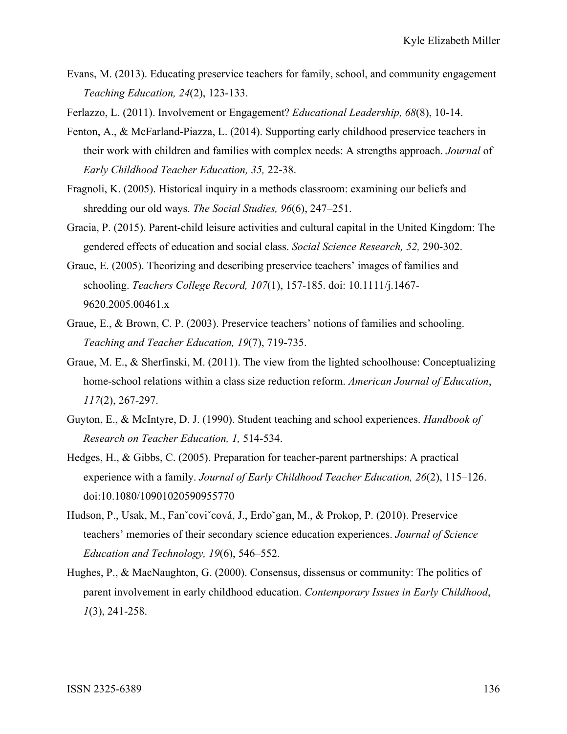- Evans, M. (2013). Educating preservice teachers for family, school, and community engagement *Teaching Education, 24*(2), 123-133.
- Ferlazzo, L. (2011). Involvement or Engagement? *Educational Leadership, 68*(8), 10-14.
- Fenton, A., & McFarland-Piazza, L. (2014). Supporting early childhood preservice teachers in their work with children and families with complex needs: A strengths approach. *Journal* of *Early Childhood Teacher Education, 35,* 22-38.
- Fragnoli, K. (2005). Historical inquiry in a methods classroom: examining our beliefs and shredding our old ways. *The Social Studies, 96*(6), 247–251.
- Gracia, P. (2015). Parent-child leisure activities and cultural capital in the United Kingdom: The gendered effects of education and social class. *Social Science Research, 52,* 290-302.
- Graue, E. (2005). Theorizing and describing preservice teachers' images of families and schooling. *Teachers College Record, 107*(1), 157-185. doi: 10.1111/j.1467- 9620.2005.00461.x
- Graue, E., & Brown, C. P. (2003). Preservice teachers' notions of families and schooling. *Teaching and Teacher Education, 19*(7), 719-735.
- Graue, M. E., & Sherfinski, M. (2011). The view from the lighted schoolhouse: Conceptualizing home-school relations within a class size reduction reform. *American Journal of Education*, *117*(2), 267-297.
- Guyton, E., & McIntyre, D. J. (1990). Student teaching and school experiences. *Handbook of Research on Teacher Education, 1,* 514-534.
- Hedges, H., & Gibbs, C. (2005). Preparation for teacher-parent partnerships: A practical experience with a family. *Journal of Early Childhood Teacher Education, 26*(2), 115–126. doi:10.1080/10901020590955770
- Hudson, P., Usak, M., Fanˇcoviˇcová, J., Erdo˘gan, M., & Prokop, P. (2010). Preservice teachers' memories of their secondary science education experiences. *Journal of Science Education and Technology, 19*(6), 546–552.
- Hughes, P., & MacNaughton, G. (2000). Consensus, dissensus or community: The politics of parent involvement in early childhood education. *Contemporary Issues in Early Childhood*, *1*(3), 241-258.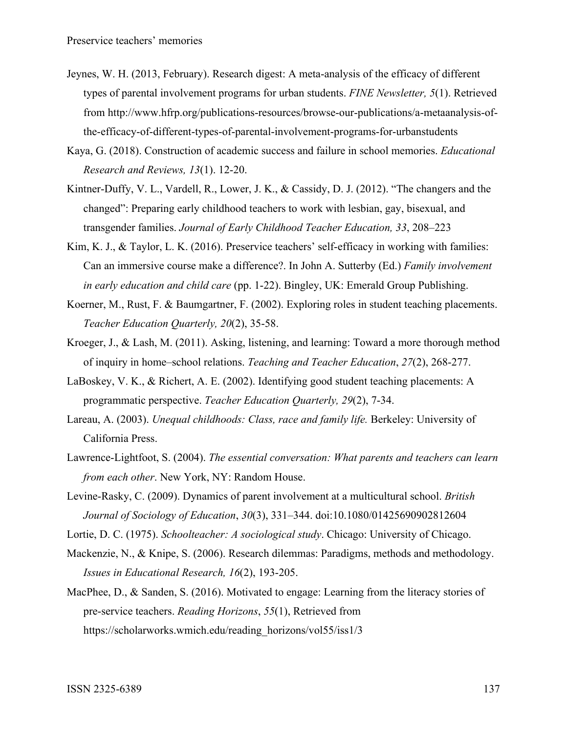- Jeynes, W. H. (2013, February). Research digest: A meta-analysis of the efficacy of different types of parental involvement programs for urban students. *FINE Newsletter, 5*(1). Retrieved from http://www.hfrp.org/publications-resources/browse-our-publications/a-metaanalysis-ofthe-efficacy-of-different-types-of-parental-involvement-programs-for-urbanstudents
- Kaya, G. (2018). Construction of academic success and failure in school memories. *Educational Research and Reviews, 13*(1). 12-20.
- Kintner-Duffy, V. L., Vardell, R., Lower, J. K., & Cassidy, D. J. (2012). "The changers and the changed": Preparing early childhood teachers to work with lesbian, gay, bisexual, and transgender families. *Journal of Early Childhood Teacher Education, 33*, 208–223
- Kim, K. J., & Taylor, L. K. (2016). Preservice teachers' self-efficacy in working with families: Can an immersive course make a difference?. In John A. Sutterby (Ed.) *Family involvement in early education and child care* (pp. 1-22). Bingley, UK: Emerald Group Publishing.
- Koerner, M., Rust, F. & Baumgartner, F. (2002). Exploring roles in student teaching placements. *Teacher Education Quarterly, 20*(2), 35-58.
- Kroeger, J., & Lash, M. (2011). Asking, listening, and learning: Toward a more thorough method of inquiry in home–school relations. *Teaching and Teacher Education*, *27*(2), 268-277.
- LaBoskey, V. K., & Richert, A. E. (2002). Identifying good student teaching placements: A programmatic perspective. *Teacher Education Quarterly, 29*(2), 7-34.
- Lareau, A. (2003). *Unequal childhoods: Class, race and family life.* Berkeley: University of California Press.
- Lawrence-Lightfoot, S. (2004). *The essential conversation: What parents and teachers can learn from each other*. New York, NY: Random House.
- Levine-Rasky, C. (2009). Dynamics of parent involvement at a multicultural school. *British Journal of Sociology of Education*, *30*(3), 331–344. doi:10.1080/01425690902812604
- Lortie, D. C. (1975). *Schoolteacher: A sociological study*. Chicago: University of Chicago.
- Mackenzie, N., & Knipe, S. (2006). Research dilemmas: Paradigms, methods and methodology. *Issues in Educational Research, 16*(2), 193-205.
- MacPhee, D., & Sanden, S. (2016). Motivated to engage: Learning from the literacy stories of pre-service teachers. *Reading Horizons*, *55*(1), Retrieved from https://scholarworks.wmich.edu/reading\_horizons/vol55/iss1/3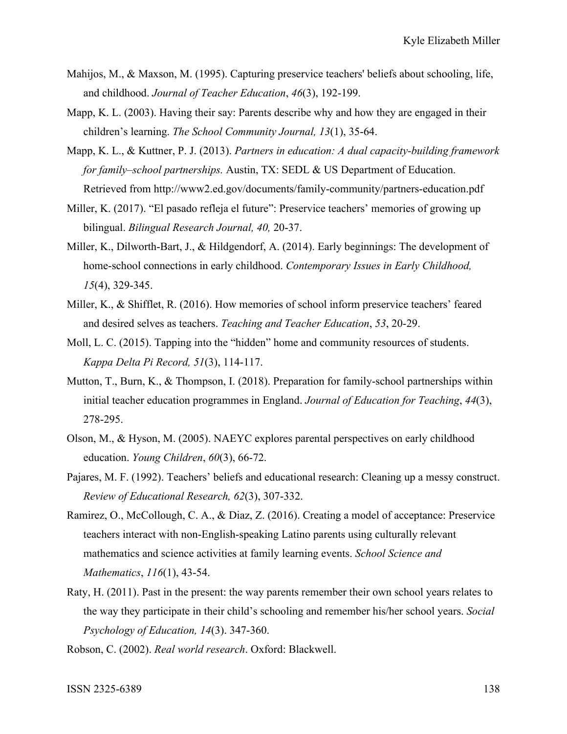- Mahijos, M., & Maxson, M. (1995). Capturing preservice teachers' beliefs about schooling, life, and childhood. *Journal of Teacher Education*, *46*(3), 192-199.
- Mapp, K. L. (2003). Having their say: Parents describe why and how they are engaged in their children's learning. *The School Community Journal, 13*(1), 35-64.
- Mapp, K. L., & Kuttner, P. J. (2013). *Partners in education: A dual capacity-building framework for family–school partnerships.* Austin, TX: SEDL & US Department of Education. Retrieved from http://www2.ed.gov/documents/family-community/partners-education.pdf
- Miller, K. (2017). "El pasado refleja el future": Preservice teachers' memories of growing up bilingual. *Bilingual Research Journal, 40,* 20-37.
- Miller, K., Dilworth-Bart, J., & Hildgendorf, A. (2014). Early beginnings: The development of home-school connections in early childhood. *Contemporary Issues in Early Childhood, 15*(4), 329-345.
- Miller, K., & Shifflet, R. (2016). How memories of school inform preservice teachers' feared and desired selves as teachers. *Teaching and Teacher Education*, *53*, 20-29.
- Moll, L. C. (2015). Tapping into the "hidden" home and community resources of students. *Kappa Delta Pi Record, 51*(3), 114-117.
- Mutton, T., Burn, K., & Thompson, I. (2018). Preparation for family-school partnerships within initial teacher education programmes in England. *Journal of Education for Teaching*, *44*(3), 278-295.
- Olson, M., & Hyson, M. (2005). NAEYC explores parental perspectives on early childhood education. *Young Children*, *60*(3), 66-72.
- Pajares, M. F. (1992). Teachers' beliefs and educational research: Cleaning up a messy construct. *Review of Educational Research, 62*(3), 307-332.
- Ramirez, O., McCollough, C. A., & Diaz, Z. (2016). Creating a model of acceptance: Preservice teachers interact with non‐English‐speaking Latino parents using culturally relevant mathematics and science activities at family learning events. *School Science and Mathematics*, *116*(1), 43-54.
- Raty, H. (2011). Past in the present: the way parents remember their own school years relates to the way they participate in their child's schooling and remember his/her school years. *Social Psychology of Education, 14*(3). 347-360.

Robson, C. (2002). *Real world research*. Oxford: Blackwell.